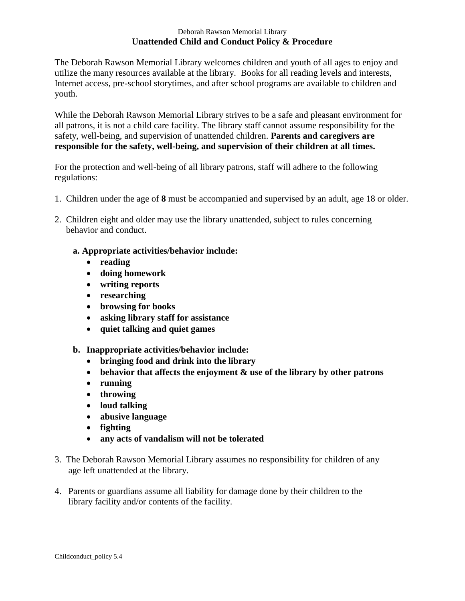#### Deborah Rawson Memorial Library **Unattended Child and Conduct Policy & Procedure**

The Deborah Rawson Memorial Library welcomes children and youth of all ages to enjoy and utilize the many resources available at the library. Books for all reading levels and interests, Internet access, pre-school storytimes, and after school programs are available to children and youth.

While the Deborah Rawson Memorial Library strives to be a safe and pleasant environment for all patrons, it is not a child care facility. The library staff cannot assume responsibility for the safety, well-being, and supervision of unattended children. **Parents and caregivers are responsible for the safety, well-being, and supervision of their children at all times.** 

For the protection and well-being of all library patrons, staff will adhere to the following regulations:

- 1. Children under the age of **8** must be accompanied and supervised by an adult, age 18 or older.
- 2. Children eight and older may use the library unattended, subject to rules concerning behavior and conduct.

### **a. Appropriate activities/behavior include:**

- **reading**
- **doing homework**
- **writing reports**
- **researching**
- **browsing for books**
- **asking library staff for assistance**
- **quiet talking and quiet games**
- **b. Inappropriate activities/behavior include:** 
	- **bringing food and drink into the library**
	- **behavior that affects the enjoyment & use of the library by other patrons**
	- **running**
	- **throwing**
	- **loud talking**
	- **abusive language**
	- **fighting**
	- **any acts of vandalism will not be tolerated**
- 3. The Deborah Rawson Memorial Library assumes no responsibility for children of any age left unattended at the library.
- 4. Parents or guardians assume all liability for damage done by their children to the library facility and/or contents of the facility.